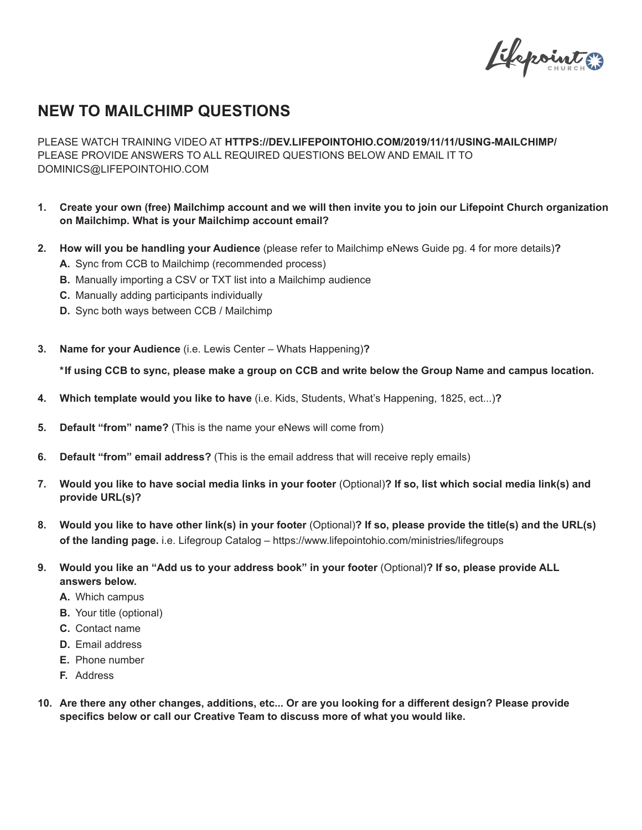Elspointes

## **NEW TO MAILCHIMP QUESTIONS**

PLEASE WATCH TRAINING VIDEO AT **HTTPS://DEV.LIFEPOINTOHIO.COM/2019/11/11/USING-MAILCHIMP/** PLEASE PROVIDE ANSWERS TO ALL REQUIRED QUESTIONS BELOW AND EMAIL IT TO DOMINICS@LIFEPOINTOHIO.COM

- **1. Create your own (free) Mailchimp account and we will then invite you to join our Lifepoint Church organization on Mailchimp. What is your Mailchimp account email?**
- **2. How will you be handling your Audience** (please refer to Mailchimp eNews Guide pg. 4 for more details)**?**
	- **A.** Sync from CCB to Mailchimp (recommended process)
	- **B.** Manually importing a CSV or TXT list into a Mailchimp audience
	- **C.** Manually adding participants individually
	- **D.** Sync both ways between CCB / Mailchimp
- **3. Name for your Audience** (i.e. Lewis Center Whats Happening)**?**

**\*If using CCB to sync, please make a group on CCB and write below the Group Name and campus location.**

- **4. Which template would you like to have** (i.e. Kids, Students, What's Happening, 1825, ect...)**?**
- **5. Default "from" name?** (This is the name your eNews will come from)
- **6. Default "from" email address?** (This is the email address that will receive reply emails)
- **7. Would you like to have social media links in your footer** (Optional)**? If so, list which social media link(s) and provide URL(s)?**
- **8. Would you like to have other link(s) in your footer** (Optional)**? If so, please provide the title(s) and the URL(s) of the landing page.** i.e. Lifegroup Catalog – https://www.lifepointohio.com/ministries/lifegroups
- **9. Would you like an "Add us to your address book" in your footer** (Optional)**? If so, please provide ALL answers below.**
	- **A.** Which campus
	- **B.** Your title (optional)
	- **C.** Contact name
	- **D.** Email address
	- **E.** Phone number
	- **F.** Address
- **10. Are there any other changes, additions, etc... Or are you looking for a different design? Please provide specifics below or call our Creative Team to discuss more of what you would like.**